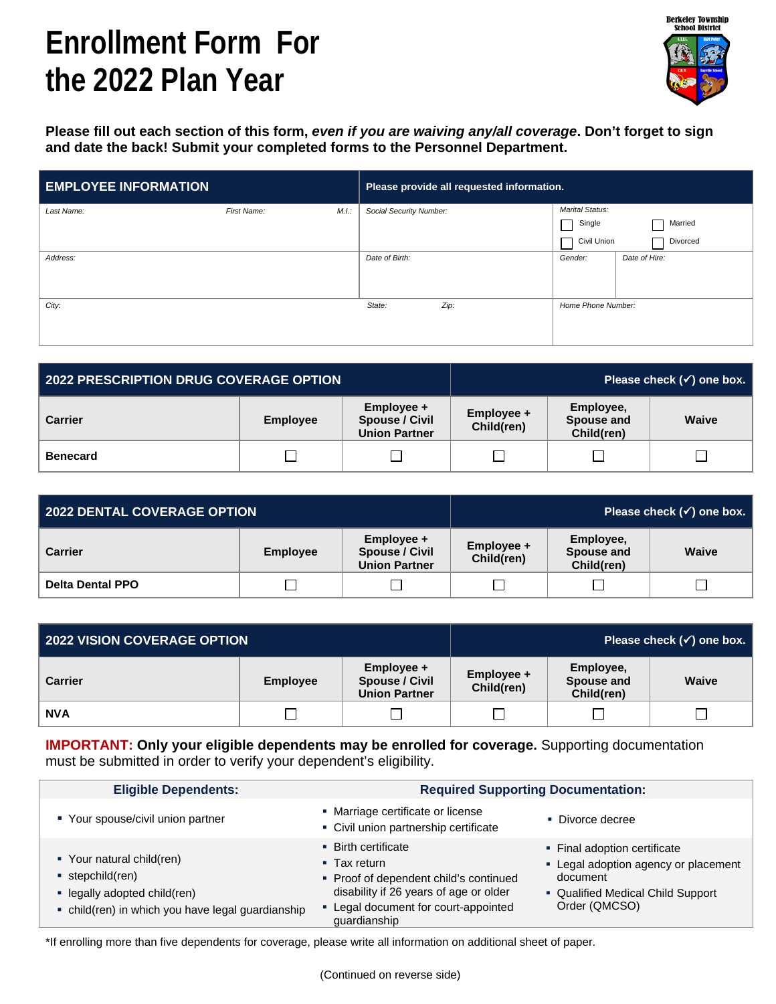## **Enrollment Form For the 2022 Plan Year**



**Please fill out each section of this form,** *even if you are waiving any/all coverage***. Don't forget to sign and date the back! Submit your completed forms to the Personnel Department.**

| <b>EMPLOYEE INFORMATION</b> |             |      | Please provide all requested information. |      |                        |               |
|-----------------------------|-------------|------|-------------------------------------------|------|------------------------|---------------|
| Last Name:                  | First Name: | M.L. | Social Security Number:                   |      | <b>Marital Status:</b> |               |
|                             |             |      |                                           |      | Single                 | Married       |
|                             |             |      |                                           |      | Civil Union            | Divorced      |
| Address:                    |             |      | Date of Birth:                            |      | Gender:                | Date of Hire: |
|                             |             |      |                                           |      |                        |               |
|                             |             |      |                                           |      |                        |               |
| City:                       |             |      | State:                                    | Zip: | Home Phone Number:     |               |
|                             |             |      |                                           |      |                        |               |
|                             |             |      |                                           |      |                        |               |

| 2022 PRESCRIPTION DRUG COVERAGE OPTION |                 |                                                             | Please check $(\checkmark)$ one box. |                                       |       |  |
|----------------------------------------|-----------------|-------------------------------------------------------------|--------------------------------------|---------------------------------------|-------|--|
| <b>Carrier</b>                         | <b>Employee</b> | Employee +<br><b>Spouse / Civil</b><br><b>Union Partner</b> | Employee +<br>Child(ren)             | Employee,<br>Spouse and<br>Child(ren) | Waive |  |
| <b>Benecard</b>                        |                 |                                                             |                                      |                                       |       |  |

| 2022 DENTAL COVERAGE OPTION |                 |                                                             | Please check $(\checkmark)$ one box. |                                       |              |  |
|-----------------------------|-----------------|-------------------------------------------------------------|--------------------------------------|---------------------------------------|--------------|--|
| <b>Carrier</b>              | <b>Employee</b> | Employee +<br><b>Spouse / Civil</b><br><b>Union Partner</b> | $Emplovee +$<br>Child(ren)           | Employee,<br>Spouse and<br>Child(ren) | <b>Waive</b> |  |
| <b>Delta Dental PPO</b>     |                 |                                                             |                                      |                                       |              |  |

| 2022 VISION COVERAGE OPTION |                 |                                                             |                          |                                       | Please check $(\checkmark)$ one box. |
|-----------------------------|-----------------|-------------------------------------------------------------|--------------------------|---------------------------------------|--------------------------------------|
| <b>Carrier</b>              | <b>Employee</b> | Employee +<br><b>Spouse / Civil</b><br><b>Union Partner</b> | Employee +<br>Child(ren) | Employee,<br>Spouse and<br>Child(ren) | <b>Waive</b>                         |
| <b>NVA</b>                  | Ξ               |                                                             |                          |                                       |                                      |

**IMPORTANT: Only your eligible dependents may be enrolled for coverage.** Supporting documentation must be submitted in order to verify your dependent's eligibility.

| <b>Eligible Dependents:</b>                                                                                                      | <b>Required Supporting Documentation:</b>                                                                                                                                                    |                                                                                                                                        |  |  |
|----------------------------------------------------------------------------------------------------------------------------------|----------------------------------------------------------------------------------------------------------------------------------------------------------------------------------------------|----------------------------------------------------------------------------------------------------------------------------------------|--|--|
| ■ Your spouse/civil union partner                                                                                                | • Marriage certificate or license<br>• Civil union partnership certificate                                                                                                                   | • Divorce decree                                                                                                                       |  |  |
| ■ Your natural child(ren)<br>stepchild(ren)<br>· legally adopted child(ren)<br>• child(ren) in which you have legal guardianship | • Birth certificate<br>$\blacksquare$ Tax return<br>• Proof of dependent child's continued<br>disability if 26 years of age or older<br>• Legal document for court-appointed<br>guardianship | • Final adoption certificate<br>• Legal adoption agency or placement<br>document<br>• Qualified Medical Child Support<br>Order (QMCSO) |  |  |

\*If enrolling more than five dependents for coverage, please write all information on additional sheet of paper.